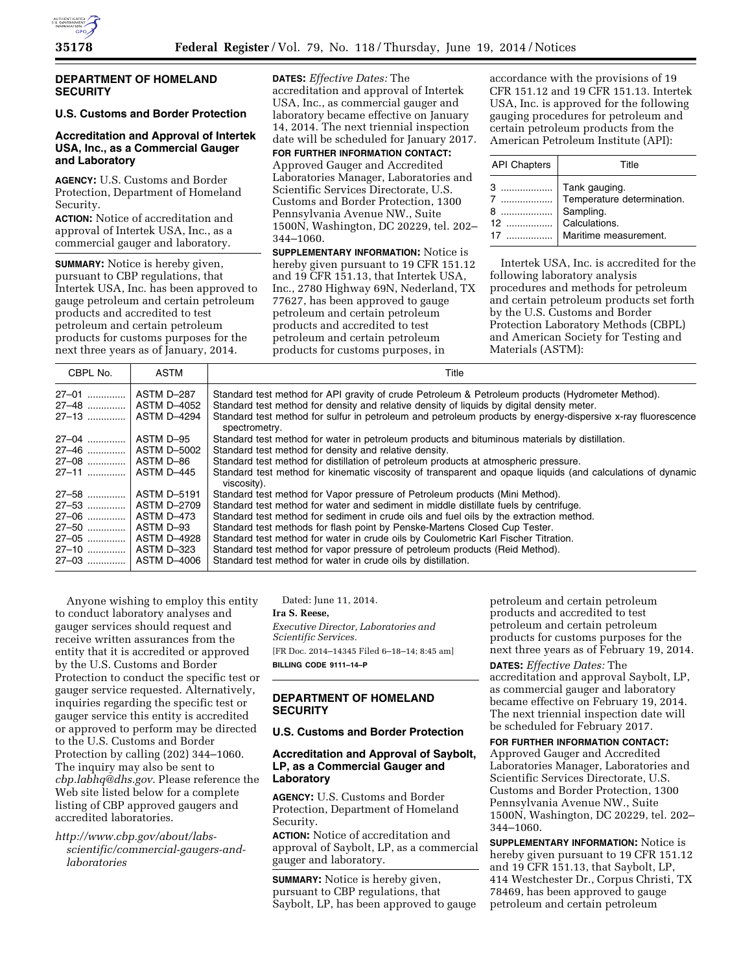

## **DEPARTMENT OF HOMELAND SECURITY**

# **U.S. Customs and Border Protection**

# **Accreditation and Approval of Intertek USA, Inc., as a Commercial Gauger and Laboratory**

**AGENCY:** U.S. Customs and Border Protection, Department of Homeland Security.

**ACTION:** Notice of accreditation and approval of Intertek USA, Inc., as a commercial gauger and laboratory.

**SUMMARY:** Notice is hereby given, pursuant to CBP regulations, that Intertek USA, Inc. has been approved to gauge petroleum and certain petroleum products and accredited to test petroleum and certain petroleum products for customs purposes for the next three years as of January, 2014.

**DATES:** *Effective Dates:* The accreditation and approval of Intertek USA, Inc., as commercial gauger and laboratory became effective on January 14, 2014. The next triennial inspection date will be scheduled for January 2017.

**FOR FURTHER INFORMATION CONTACT:** 

Approved Gauger and Accredited Laboratories Manager, Laboratories and Scientific Services Directorate, U.S. Customs and Border Protection, 1300 Pennsylvania Avenue NW., Suite 1500N, Washington, DC 20229, tel. 202– 344–1060.

**SUPPLEMENTARY INFORMATION:** Notice is hereby given pursuant to 19 CFR 151.12 and 19 CFR 151.13, that Intertek USA, Inc., 2780 Highway 69N, Nederland, TX 77627, has been approved to gauge petroleum and certain petroleum products and accredited to test petroleum and certain petroleum products for customs purposes, in

accordance with the provisions of 19 CFR 151.12 and 19 CFR 151.13. Intertek USA, Inc. is approved for the following gauging procedures for petroleum and certain petroleum products from the American Petroleum Institute (API):

| <b>API Chapters</b> | Title                                                                                                |
|---------------------|------------------------------------------------------------------------------------------------------|
| 17                  | Tank gauging.<br>  Temperature determination.<br>Sampling.<br>Calculations.<br>Maritime measurement. |

Intertek USA, Inc. is accredited for the following laboratory analysis procedures and methods for petroleum and certain petroleum products set forth by the U.S. Customs and Border Protection Laboratory Methods (CBPL) and American Society for Testing and Materials (ASTM):

| CBPL No.             | ASTM               | Title                                                                                                                        |
|----------------------|--------------------|------------------------------------------------------------------------------------------------------------------------------|
| 27-01                | ASTM D-287         | Standard test method for API gravity of crude Petroleum & Petroleum products (Hydrometer Method).                            |
| 27-48    ASTM D-4052 |                    | Standard test method for density and relative density of liquids by digital density meter.                                   |
| 27-13                | <b>ASTM D-4294</b> | Standard test method for sulfur in petroleum and petroleum products by energy-dispersive x-ray fluorescence<br>spectrometry. |
| 27-04                | ASTM D-95          | Standard test method for water in petroleum products and bituminous materials by distillation.                               |
| 27-46    ASTM D-5002 |                    | Standard test method for density and relative density.                                                                       |
| 27–08    ASTM D–86   |                    | Standard test method for distillation of petroleum products at atmospheric pressure.                                         |
| 27–11                | ASTM D-445         | Standard test method for kinematic viscosity of transparent and opaque liquids (and calculations of dynamic<br>viscosity).   |
| $27 - 58$            | ASTM D-5191        | Standard test method for Vapor pressure of Petroleum products (Mini Method).                                                 |
| 27-53    ASTM D-2709 |                    | Standard test method for water and sediment in middle distillate fuels by centrifuge.                                        |
| 27-06    ASTM D-473  |                    | Standard test method for sediment in crude oils and fuel oils by the extraction method.                                      |
| 27-50    ASTM D-93   |                    | Standard test methods for flash point by Penske-Martens Closed Cup Tester.                                                   |
| 27-05    ASTM D-4928 |                    | Standard test method for water in crude oils by Coulometric Karl Fischer Titration.                                          |
| 27-10    ASTM D-323  |                    | Standard test method for vapor pressure of petroleum products (Reid Method).                                                 |
| 27-03    ASTM D-4006 |                    | Standard test method for water in crude oils by distillation.                                                                |

Anyone wishing to employ this entity to conduct laboratory analyses and gauger services should request and receive written assurances from the entity that it is accredited or approved by the U.S. Customs and Border Protection to conduct the specific test or gauger service requested. Alternatively, inquiries regarding the specific test or gauger service this entity is accredited or approved to perform may be directed to the U.S. Customs and Border Protection by calling (202) 344–1060. The inquiry may also be sent to *[cbp.labhq@dhs.gov](mailto:cbp.labhq@dhs.gov)*. Please reference the Web site listed below for a complete listing of CBP approved gaugers and accredited laboratories.

*http://www.cbp.gov/about/labs[scientific/commercial-gaugers-and](http://www.cbp.gov/about/labs-scientific/commercial-gaugers-and-laboratories)laboratories* 

Dated: June 11, 2014.

**Ira S. Reese,** 

*Executive Director, Laboratories and Scientific Services.* 

[FR Doc. 2014–14345 Filed 6–18–14; 8:45 am] **BILLING CODE 9111–14–P** 

# **DEPARTMENT OF HOMELAND SECURITY**

### **U.S. Customs and Border Protection**

### **Accreditation and Approval of Saybolt, LP, as a Commercial Gauger and Laboratory**

**AGENCY:** U.S. Customs and Border Protection, Department of Homeland Security.

**ACTION:** Notice of accreditation and approval of Saybolt, LP, as a commercial gauger and laboratory.

**SUMMARY:** Notice is hereby given, pursuant to CBP regulations, that Saybolt, LP, has been approved to gauge

petroleum and certain petroleum products and accredited to test petroleum and certain petroleum products for customs purposes for the next three years as of February 19, 2014.

**DATES:** *Effective Dates:* The accreditation and approval Saybolt, LP, as commercial gauger and laboratory became effective on February 19, 2014. The next triennial inspection date will be scheduled for February 2017.

#### **FOR FURTHER INFORMATION CONTACT:**

Approved Gauger and Accredited Laboratories Manager, Laboratories and Scientific Services Directorate, U.S. Customs and Border Protection, 1300 Pennsylvania Avenue NW., Suite 1500N, Washington, DC 20229, tel. 202– 344–1060.

**SUPPLEMENTARY INFORMATION:** Notice is hereby given pursuant to 19 CFR 151.12 and 19 CFR 151.13, that Saybolt, LP, 414 Westchester Dr., Corpus Christi, TX 78469, has been approved to gauge petroleum and certain petroleum